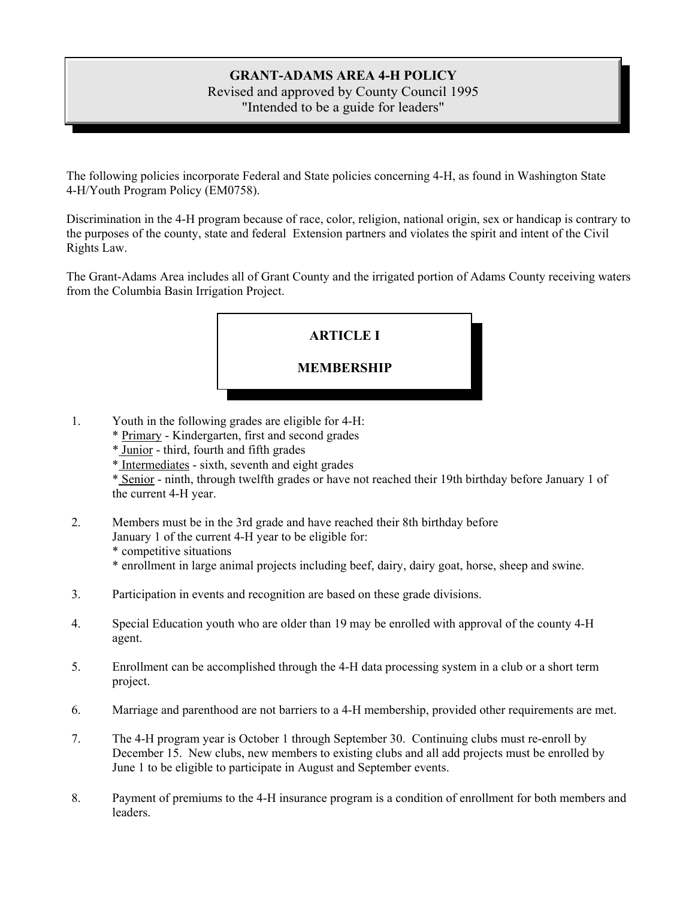### **GRANT-ADAMS AREA 4-H POLICY** Revised and approved by County Council 1995 "Intended to be a guide for leaders"

The following policies incorporate Federal and State policies concerning 4-H, as found in Washington State 4-H/Youth Program Policy (EM0758).

Discrimination in the 4-H program because of race, color, religion, national origin, sex or handicap is contrary to the purposes of the county, state and federal Extension partners and violates the spirit and intent of the Civil Rights Law.

The Grant-Adams Area includes all of Grant County and the irrigated portion of Adams County receiving waters from the Columbia Basin Irrigation Project.



- 1. Youth in the following grades are eligible for 4-H:
	- \* Primary Kindergarten, first and second grades
	- \* Junior third, fourth and fifth grades
	- \* Intermediates sixth, seventh and eight grades

\* Senior - ninth, through twelfth grades or have not reached their 19th birthday before January 1 of the current 4-H year.

- 2. Members must be in the 3rd grade and have reached their 8th birthday before January 1 of the current 4-H year to be eligible for: \* competitive situations \* enrollment in large animal projects including beef, dairy, dairy goat, horse, sheep and swine.
- 3. Participation in events and recognition are based on these grade divisions.
- 4. Special Education youth who are older than 19 may be enrolled with approval of the county 4-H agent.
- 5. Enrollment can be accomplished through the 4-H data processing system in a club or a short term project.
- 6. Marriage and parenthood are not barriers to a 4-H membership, provided other requirements are met.
- 7. The 4-H program year is October 1 through September 30. Continuing clubs must re-enroll by December 15. New clubs, new members to existing clubs and all add projects must be enrolled by June 1 to be eligible to participate in August and September events.
- 8. Payment of premiums to the 4-H insurance program is a condition of enrollment for both members and leaders.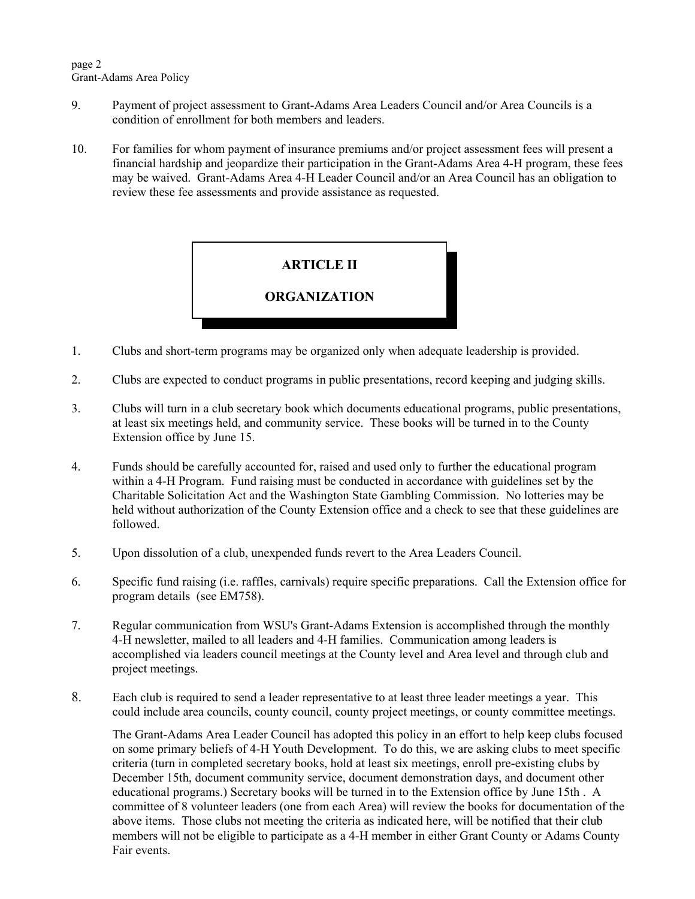- 9. Payment of project assessment to Grant-Adams Area Leaders Council and/or Area Councils is a condition of enrollment for both members and leaders.
- 10. For families for whom payment of insurance premiums and/or project assessment fees will present a financial hardship and jeopardize their participation in the Grant-Adams Area 4-H program, these fees may be waived. Grant-Adams Area 4-H Leader Council and/or an Area Council has an obligation to review these fee assessments and provide assistance as requested.



- 1. Clubs and short-term programs may be organized only when adequate leadership is provided.
- 2. Clubs are expected to conduct programs in public presentations, record keeping and judging skills.
- 3. Clubs will turn in a club secretary book which documents educational programs, public presentations, at least six meetings held, and community service. These books will be turned in to the County Extension office by June 15.
- 4. Funds should be carefully accounted for, raised and used only to further the educational program within a 4-H Program. Fund raising must be conducted in accordance with guidelines set by the Charitable Solicitation Act and the Washington State Gambling Commission. No lotteries may be held without authorization of the County Extension office and a check to see that these guidelines are followed.
- 5. Upon dissolution of a club, unexpended funds revert to the Area Leaders Council.
- 6. Specific fund raising (i.e. raffles, carnivals) require specific preparations. Call the Extension office for program details (see EM758).
- 7. Regular communication from WSU's Grant-Adams Extension is accomplished through the monthly 4-H newsletter, mailed to all leaders and 4-H families. Communication among leaders is accomplished via leaders council meetings at the County level and Area level and through club and project meetings.
- 8. Each club is required to send a leader representative to at least three leader meetings a year. This could include area councils, county council, county project meetings, or county committee meetings.

The Grant-Adams Area Leader Council has adopted this policy in an effort to help keep clubs focused on some primary beliefs of 4-H Youth Development. To do this, we are asking clubs to meet specific criteria (turn in completed secretary books, hold at least six meetings, enroll pre-existing clubs by December 15th, document community service, document demonstration days, and document other educational programs.) Secretary books will be turned in to the Extension office by June 15th . A committee of 8 volunteer leaders (one from each Area) will review the books for documentation of the above items. Those clubs not meeting the criteria as indicated here, will be notified that their club members will not be eligible to participate as a 4-H member in either Grant County or Adams County Fair events.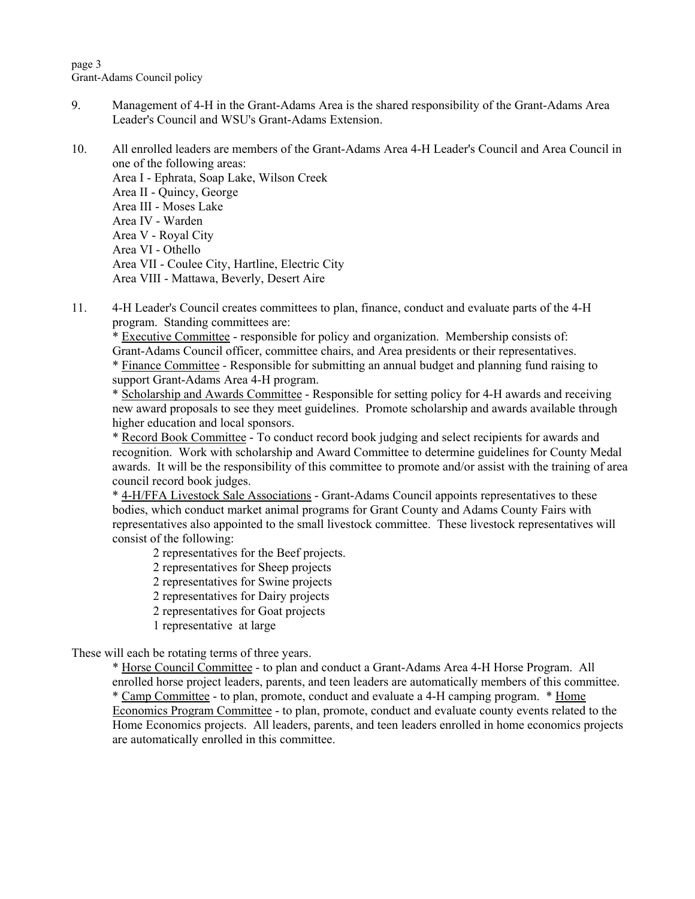page 3 Grant-Adams Council policy

- 9. Management of 4-H in the Grant-Adams Area is the shared responsibility of the Grant-Adams Area Leader's Council and WSU's Grant-Adams Extension.
- 10. All enrolled leaders are members of the Grant-Adams Area 4-H Leader's Council and Area Council in one of the following areas: Area I - Ephrata, Soap Lake, Wilson Creek Area II - Quincy, George Area III - Moses Lake Area IV - Warden Area V - Royal City Area VI - Othello Area VII - Coulee City, Hartline, Electric City Area VIII - Mattawa, Beverly, Desert Aire
- 11. 4-H Leader's Council creates committees to plan, finance, conduct and evaluate parts of the 4-H program. Standing committees are:

\* Executive Committee - responsible for policy and organization. Membership consists of: Grant-Adams Council officer, committee chairs, and Area presidents or their representatives. \* Finance Committee - Responsible for submitting an annual budget and planning fund raising to support Grant-Adams Area 4-H program.

\* Scholarship and Awards Committee - Responsible for setting policy for 4-H awards and receiving new award proposals to see they meet guidelines. Promote scholarship and awards available through higher education and local sponsors.

\* Record Book Committee - To conduct record book judging and select recipients for awards and recognition. Work with scholarship and Award Committee to determine guidelines for County Medal awards. It will be the responsibility of this committee to promote and/or assist with the training of area council record book judges.

\* 4-H/FFA Livestock Sale Associations - Grant-Adams Council appoints representatives to these bodies, which conduct market animal programs for Grant County and Adams County Fairs with representatives also appointed to the small livestock committee. These livestock representatives will consist of the following:

2 representatives for the Beef projects.

2 representatives for Sheep projects

2 representatives for Swine projects

2 representatives for Dairy projects

2 representatives for Goat projects

1 representative at large

These will each be rotating terms of three years.

\* Horse Council Committee - to plan and conduct a Grant-Adams Area 4-H Horse Program. All enrolled horse project leaders, parents, and teen leaders are automatically members of this committee. \* Camp Committee - to plan, promote, conduct and evaluate a 4-H camping program. \* Home Economics Program Committee - to plan, promote, conduct and evaluate county events related to the Home Economics projects. All leaders, parents, and teen leaders enrolled in home economics projects are automatically enrolled in this committee.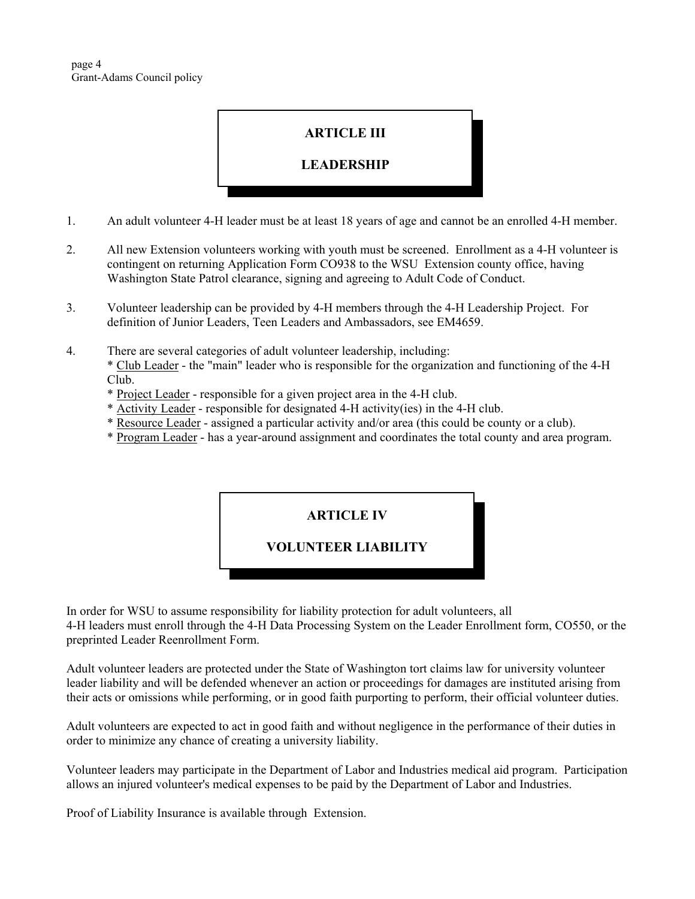page 4 Grant-Adams Council policy

## **ARTICLE III**

#### **LEADERSHIP**

- 1. An adult volunteer 4-H leader must be at least 18 years of age and cannot be an enrolled 4-H member.
- 2. All new Extension volunteers working with youth must be screened. Enrollment as a 4-H volunteer is contingent on returning Application Form CO938 to the WSU Extension county office, having Washington State Patrol clearance, signing and agreeing to Adult Code of Conduct.
- 3. Volunteer leadership can be provided by 4-H members through the 4-H Leadership Project. For definition of Junior Leaders, Teen Leaders and Ambassadors, see EM4659.
- 4. There are several categories of adult volunteer leadership, including: \* Club Leader - the "main" leader who is responsible for the organization and functioning of the 4-H Club.
	- \* Project Leader responsible for a given project area in the 4-H club.
	- \* Activity Leader responsible for designated 4-H activity(ies) in the 4-H club.
	- \* Resource Leader assigned a particular activity and/or area (this could be county or a club).
	- \* Program Leader has a year-around assignment and coordinates the total county and area program.

### **ARTICLE IV**

#### **VOLUNTEER LIABILITY**

In order for WSU to assume responsibility for liability protection for adult volunteers, all 4-H leaders must enroll through the 4-H Data Processing System on the Leader Enrollment form, CO550, or the preprinted Leader Reenrollment Form.

Adult volunteer leaders are protected under the State of Washington tort claims law for university volunteer leader liability and will be defended whenever an action or proceedings for damages are instituted arising from their acts or omissions while performing, or in good faith purporting to perform, their official volunteer duties.

Adult volunteers are expected to act in good faith and without negligence in the performance of their duties in order to minimize any chance of creating a university liability.

Volunteer leaders may participate in the Department of Labor and Industries medical aid program. Participation allows an injured volunteer's medical expenses to be paid by the Department of Labor and Industries.

Proof of Liability Insurance is available through Extension.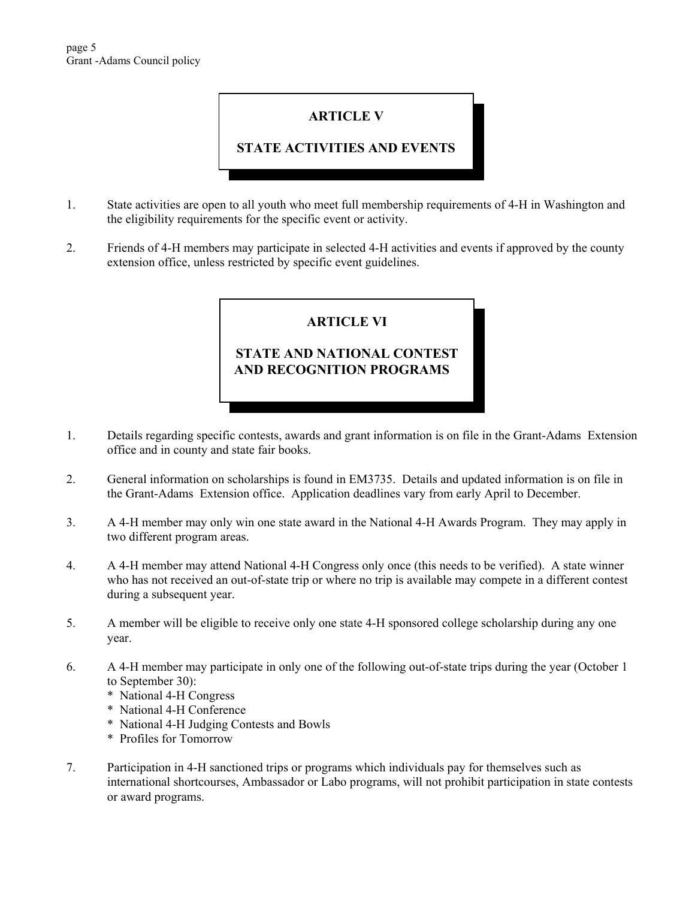# **ARTICLE V**

## **STATE ACTIVITIES AND EVENTS**

- 1. State activities are open to all youth who meet full membership requirements of 4-H in Washington and the eligibility requirements for the specific event or activity.
- 2. Friends of 4-H members may participate in selected 4-H activities and events if approved by the county extension office, unless restricted by specific event guidelines.

## **ARTICLE VI**

# **STATE AND NATIONAL CONTEST AND RECOGNITION PROGRAMS**

- 1. Details regarding specific contests, awards and grant information is on file in the Grant-Adams Extension office and in county and state fair books.
- 2. General information on scholarships is found in EM3735. Details and updated information is on file in the Grant-Adams Extension office. Application deadlines vary from early April to December.
- 3. A 4-H member may only win one state award in the National 4-H Awards Program. They may apply in two different program areas.
- 4. A 4-H member may attend National 4-H Congress only once (this needs to be verified). A state winner who has not received an out-of-state trip or where no trip is available may compete in a different contest during a subsequent year.
- 5. A member will be eligible to receive only one state 4-H sponsored college scholarship during any one year.
- 6. A 4-H member may participate in only one of the following out-of-state trips during the year (October 1 to September 30):
	- \* National 4-H Congress
	- \* National 4-H Conference
	- \* National 4-H Judging Contests and Bowls
	- \* Profiles for Tomorrow
- 7. Participation in 4-H sanctioned trips or programs which individuals pay for themselves such as international shortcourses, Ambassador or Labo programs, will not prohibit participation in state contests or award programs.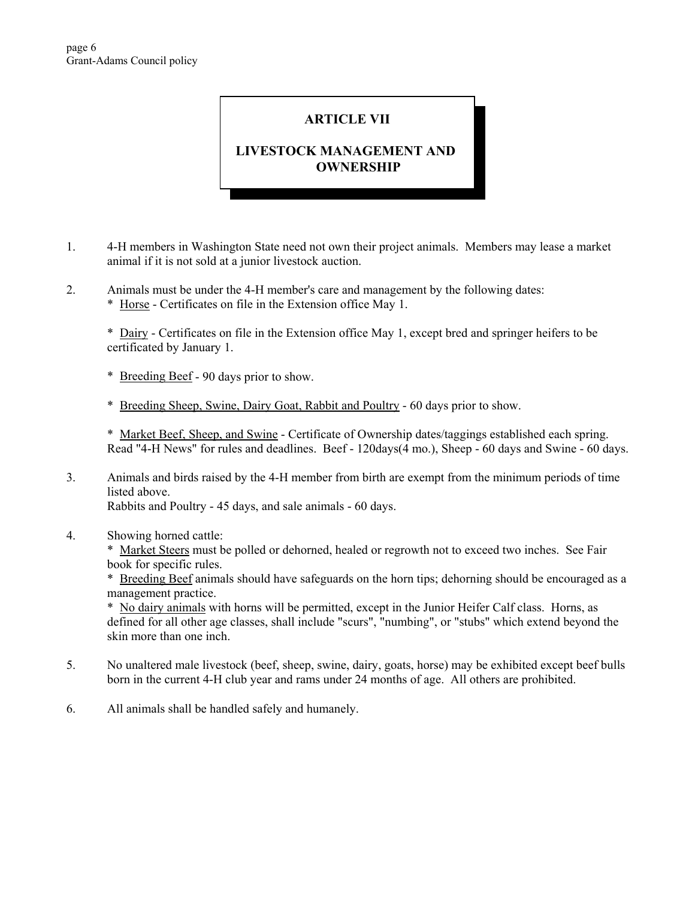## **ARTICLE VII**

## **LIVESTOCK MANAGEMENT AND OWNERSHIP**

- 1. 4-H members in Washington State need not own their project animals. Members may lease a market animal if it is not sold at a junior livestock auction.
- 2. Animals must be under the 4-H member's care and management by the following dates:
	- \* Horse Certificates on file in the Extension office May 1.

\* Dairy - Certificates on file in the Extension office May 1, except bred and springer heifers to be certificated by January 1.

- \* Breeding Beef 90 days prior to show.
- \* Breeding Sheep, Swine, Dairy Goat, Rabbit and Poultry 60 days prior to show.

\* Market Beef, Sheep, and Swine - Certificate of Ownership dates/taggings established each spring. Read "4-H News" for rules and deadlines. Beef - 120days(4 mo.), Sheep - 60 days and Swine - 60 days.

- 3. Animals and birds raised by the 4-H member from birth are exempt from the minimum periods of time listed above. Rabbits and Poultry - 45 days, and sale animals - 60 days.
- 4. Showing horned cattle:

\* Market Steers must be polled or dehorned, healed or regrowth not to exceed two inches. See Fair book for specific rules.

\* Breeding Beef animals should have safeguards on the horn tips; dehorning should be encouraged as a management practice.

\* No dairy animals with horns will be permitted, except in the Junior Heifer Calf class. Horns, as defined for all other age classes, shall include "scurs", "numbing", or "stubs" which extend beyond the skin more than one inch.

- 5. No unaltered male livestock (beef, sheep, swine, dairy, goats, horse) may be exhibited except beef bulls born in the current 4-H club year and rams under 24 months of age. All others are prohibited.
- 6. All animals shall be handled safely and humanely.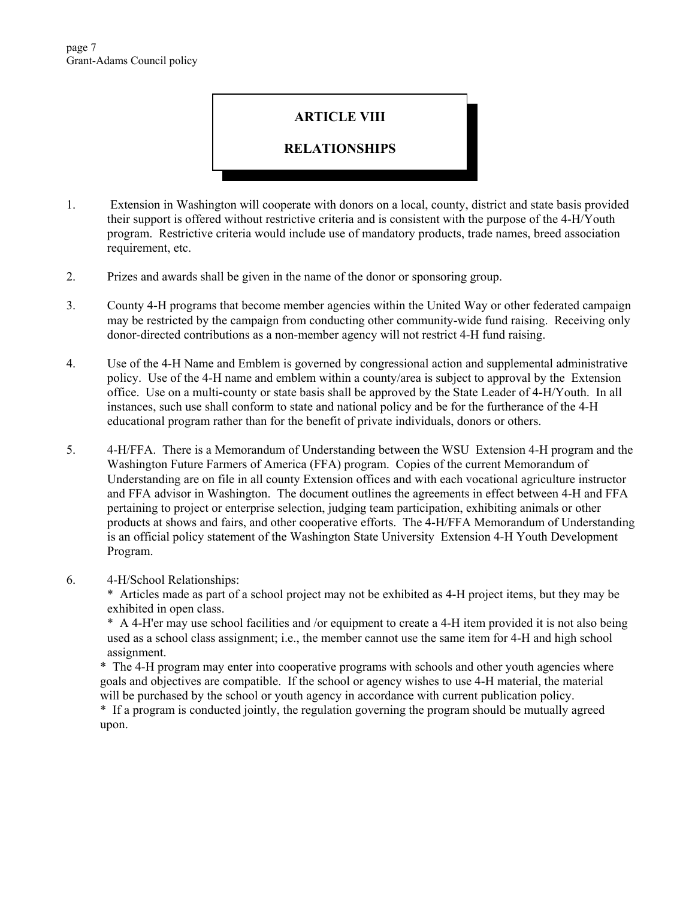### **ARTICLE VIII**

### **RELATIONSHIPS**

- 1. Extension in Washington will cooperate with donors on a local, county, district and state basis provided their support is offered without restrictive criteria and is consistent with the purpose of the 4-H/Youth program. Restrictive criteria would include use of mandatory products, trade names, breed association requirement, etc.
- 2. Prizes and awards shall be given in the name of the donor or sponsoring group.
- 3. County 4-H programs that become member agencies within the United Way or other federated campaign may be restricted by the campaign from conducting other community-wide fund raising. Receiving only donor-directed contributions as a non-member agency will not restrict 4-H fund raising.
- 4. Use of the 4-H Name and Emblem is governed by congressional action and supplemental administrative policy. Use of the 4-H name and emblem within a county/area is subject to approval by the Extension office. Use on a multi-county or state basis shall be approved by the State Leader of 4-H/Youth. In all instances, such use shall conform to state and national policy and be for the furtherance of the 4-H educational program rather than for the benefit of private individuals, donors or others.
- 5. 4-H/FFA. There is a Memorandum of Understanding between the WSU Extension 4-H program and the Washington Future Farmers of America (FFA) program. Copies of the current Memorandum of Understanding are on file in all county Extension offices and with each vocational agriculture instructor and FFA advisor in Washington. The document outlines the agreements in effect between 4-H and FFA pertaining to project or enterprise selection, judging team participation, exhibiting animals or other products at shows and fairs, and other cooperative efforts. The 4-H/FFA Memorandum of Understanding is an official policy statement of the Washington State University Extension 4-H Youth Development Program.

#### 6. 4-H/School Relationships:

\* Articles made as part of a school project may not be exhibited as 4-H project items, but they may be exhibited in open class.

\* A 4-H'er may use school facilities and /or equipment to create a 4-H item provided it is not also being used as a school class assignment; i.e., the member cannot use the same item for 4-H and high school assignment.

\* The 4-H program may enter into cooperative programs with schools and other youth agencies where goals and objectives are compatible. If the school or agency wishes to use 4-H material, the material will be purchased by the school or youth agency in accordance with current publication policy.

\* If a program is conducted jointly, the regulation governing the program should be mutually agreed upon.